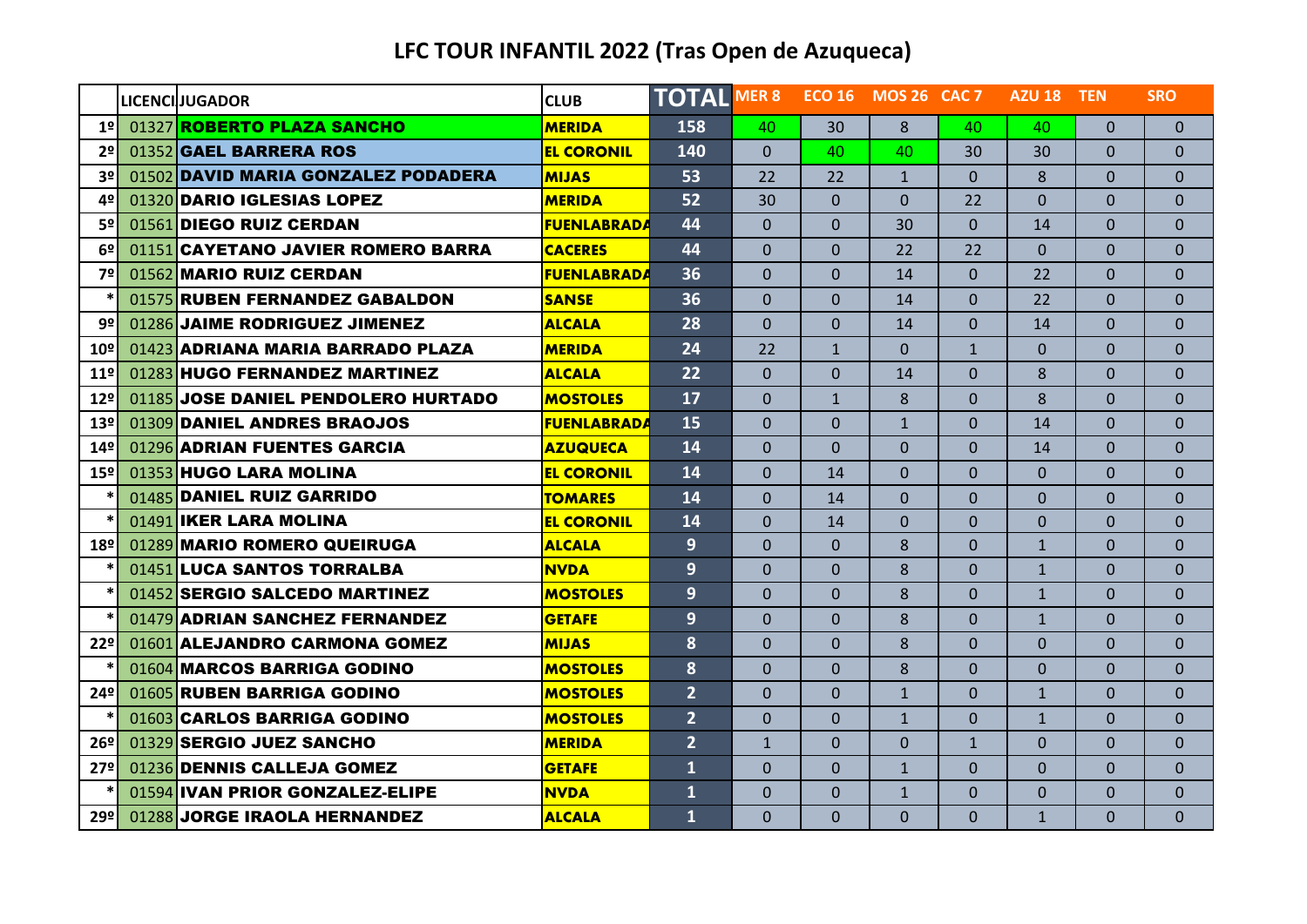## **LFC TOUR INFANTIL 2022 (Tras Open de Azuqueca)**

|                 | <b>LICENCI JUGADOR</b>              | <b>CLUB</b>        | <b>TOTAL MER 8</b> |                |              | <b>ECO 16 MOS 26 CAC 7</b> |                | AZU 18 TEN   |                | <b>SRO</b>   |
|-----------------|-------------------------------------|--------------------|--------------------|----------------|--------------|----------------------------|----------------|--------------|----------------|--------------|
| 1 <sup>°</sup>  | 01327 ROBERTO PLAZA SANCHO          | <b>MERIDA</b>      | 158                | 40             | 30           | 8                          | 40             | 40           | $\Omega$       | $\Omega$     |
| 2 <sup>°</sup>  | 01352 GAEL BARRERA ROS              | <b>EL CORONIL</b>  | 140                | $\Omega$       | 40           | 40                         | 30             | 30           | $\Omega$       | $\Omega$     |
| 3º              | 01502 DAVID MARIA GONZALEZ PODADERA | <b>MIJAS</b>       | 53                 | 22             | 22           | $\mathbf{1}$               | $\Omega$       | 8            | $\Omega$       | $\Omega$     |
| 4º              | 01320 DARIO IGLESIAS LOPEZ          | <b>MERIDA</b>      | 52                 | 30             | $\Omega$     | $\Omega$                   | 22             | $\Omega$     | $\overline{0}$ | $\Omega$     |
| 5º              | 01561 DIEGO RUIZ CERDAN             | <b>FUENLABRADA</b> | 44                 | $\Omega$       | $\Omega$     | 30                         | $\Omega$       | 14           | $\Omega$       | $\mathbf 0$  |
| 6 <sup>°</sup>  | 01151 CAYETANO JAVIER ROMERO BARRA  | <b>CACERES</b>     | 44                 | $\Omega$       | $\Omega$     | 22                         | 22             | $\Omega$     | $\overline{0}$ | $\Omega$     |
| 7º              | 01562 MARIO RUIZ CERDAN             | <b>FUENLABRADA</b> | 36                 | $\Omega$       | $\Omega$     | 14                         | $\Omega$       | 22           | $\overline{0}$ | $\Omega$     |
|                 | 01575 RUBEN FERNANDEZ GABALDON      | <b>SANSE</b>       | 36                 | $\Omega$       | $\Omega$     | 14                         | $\Omega$       | 22           | $\Omega$       | $\Omega$     |
| 9º              | 01286 JAIME RODRIGUEZ JIMENEZ       | <b>ALCALA</b>      | 28                 | $\Omega$       | $\Omega$     | 14                         | $\Omega$       | 14           | $\mathbf{0}$   | $\Omega$     |
| 10º             | 01423 ADRIANA MARIA BARRADO PLAZA   | <b>MERIDA</b>      | 24                 | 22             | $\mathbf{1}$ | $\Omega$                   | $\mathbf{1}$   | $\Omega$     | $\overline{0}$ | $\mathbf 0$  |
| 11 <sup>°</sup> | 01283 HUGO FERNANDEZ MARTINEZ       | <b>ALCALA</b>      | 22                 | $\Omega$       | $\Omega$     | 14                         | $\Omega$       | $\mathbf{8}$ | $\Omega$       | $\Omega$     |
| 12 <sup>°</sup> | 01185 JOSE DANIEL PENDOLERO HURTADO | <b>MOSTOLES</b>    | 17                 | $\Omega$       | $\mathbf{1}$ | 8                          | $\Omega$       | 8            | $\Omega$       | $\Omega$     |
| 13 <sup>°</sup> | 01309 DANIEL ANDRES BRAOJOS         | <b>FUENLABRADA</b> | 15                 | $\Omega$       | $\Omega$     | $\mathbf{1}$               | $\Omega$       | 14           | $\Omega$       | $\Omega$     |
| 14º             | 01296 ADRIAN FUENTES GARCIA         | <b>AZUQUECA</b>    | 14                 | $\Omega$       | $\Omega$     | $\Omega$                   | $\Omega$       | 14           | $\Omega$       | $\mathbf{0}$ |
| 15 <sup>°</sup> | 01353 HUGO LARA MOLINA              | <b>EL CORONIL</b>  | 14                 | $\Omega$       | 14           | $\Omega$                   | $\Omega$       | $\Omega$     | $\Omega$       | $\Omega$     |
|                 | 01485 DANIEL RUIZ GARRIDO           | <b>TOMARES</b>     | 14                 | $\Omega$       | 14           | $\Omega$                   | $\Omega$       | $\Omega$     | $\overline{0}$ | $\Omega$     |
|                 | 01491 IKER LARA MOLINA              | <b>EL CORONIL</b>  | 14                 | $\Omega$       | 14           | $\Omega$                   | $\Omega$       | $\Omega$     | $\Omega$       | $\Omega$     |
| 18º             | 01289 MARIO ROMERO QUEIRUGA         | <b>ALCALA</b>      | 9 <sup>°</sup>     | $\Omega$       | $\Omega$     | 8                          | $\Omega$       | $\mathbf{1}$ | $\Omega$       | $\Omega$     |
|                 | 01451 LUCA SANTOS TORRALBA          | <b>NVDA</b>        | 9 <sup>°</sup>     | $\Omega$       | $\Omega$     | 8                          | $\Omega$       | $\mathbf{1}$ | $\Omega$       | $\Omega$     |
|                 | 01452 SERGIO SALCEDO MARTINEZ       | <b>MOSTOLES</b>    | 9                  | $\Omega$       | $\Omega$     | 8                          | $\Omega$       | $\mathbf{1}$ | $\Omega$       | $\Omega$     |
|                 | 01479 ADRIAN SANCHEZ FERNANDEZ      | <b>GETAFE</b>      | 9 <sup>°</sup>     | $\Omega$       | $\Omega$     | 8                          | $\overline{0}$ | $\mathbf{1}$ | $\overline{0}$ | $\mathbf{0}$ |
| 22 <sup>°</sup> | 01601 ALEJANDRO CARMONA GOMEZ       | <b>MIJAS</b>       | 8                  | $\Omega$       | $\Omega$     | 8                          | $\Omega$       | $\Omega$     | $\Omega$       | $\Omega$     |
|                 | 01604 MARCOS BARRIGA GODINO         | <b>MOSTOLES</b>    | 8                  | $\Omega$       | $\Omega$     | 8                          | $\Omega$       | $\Omega$     | $\overline{0}$ | $\Omega$     |
| 24 <sup>°</sup> | 01605 RUBEN BARRIGA GODINO          | <b>MOSTOLES</b>    | $\overline{2}$     | $\Omega$       | $\Omega$     | $\mathbf{1}$               | $\Omega$       | $\mathbf{1}$ | $\Omega$       | $\Omega$     |
|                 | 01603 CARLOS BARRIGA GODINO         | <b>MOSTOLES</b>    | 2 <sup>1</sup>     | $\overline{0}$ | $\Omega$     | $\mathbf{1}$               | $\overline{0}$ | $\mathbf{1}$ | $\mathbf{0}$   | $\mathbf 0$  |
| 26 <sup>°</sup> | 01329 SERGIO JUEZ SANCHO            | <b>MERIDA</b>      | 2 <sup>1</sup>     | $\mathbf{1}$   | $\Omega$     | $\Omega$                   | $\mathbf{1}$   | $\Omega$     | $\overline{0}$ | $\Omega$     |
| 27 <sup>°</sup> | 01236 DENNIS CALLEJA GOMEZ          | <b>GETAFE</b>      | $\mathbf{1}$       | $\Omega$       | $\Omega$     | $\mathbf{1}$               | $\Omega$       | $\Omega$     | $\overline{0}$ | $\Omega$     |
|                 | 01594 IVAN PRIOR GONZALEZ-ELIPE     | <b>NVDA</b>        | $\mathbf{1}$       | $\Omega$       | $\Omega$     | $\mathbf{1}$               | $\Omega$       | $\Omega$     | 0              | $\Omega$     |
| 29º             | 01288 JORGE IRAOLA HERNANDEZ        | <b>ALCALA</b>      | $\mathbf{1}$       | $\Omega$       | $\Omega$     | $\overline{0}$             | $\Omega$       | $\mathbf{1}$ | $\overline{0}$ | $\mathbf{0}$ |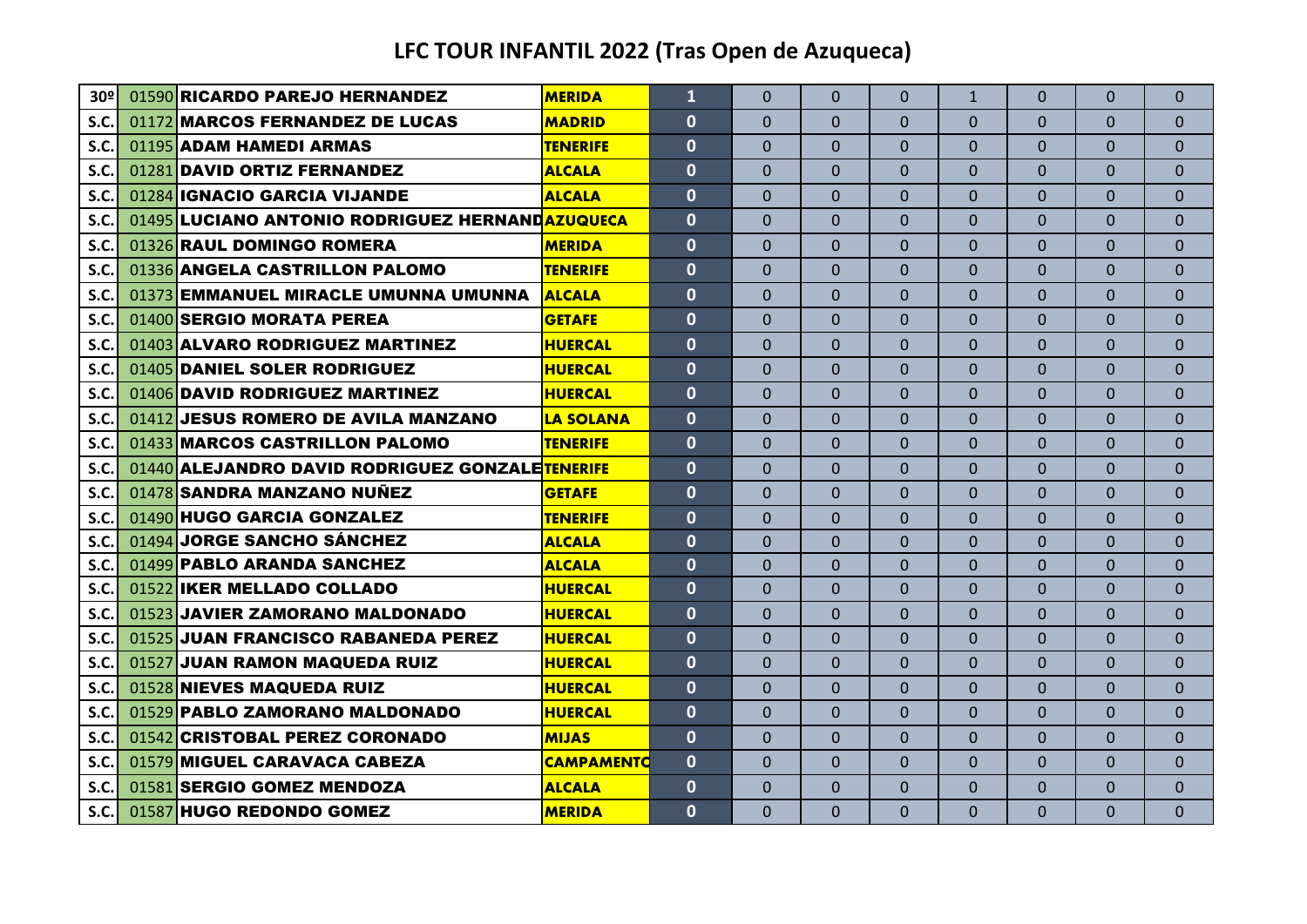## **LFC TOUR INFANTIL 2022 (Tras Open de Azuqueca)**

| 30º  | 01590 RICARDO PAREJO HERNANDEZ                  | <b>MERIDA</b>     | $\overline{1}$ | $\Omega$       | $\Omega$ | $\Omega$       | $\mathbf{1}$ | $\Omega$ | $\Omega$ | $\Omega$     |
|------|-------------------------------------------------|-------------------|----------------|----------------|----------|----------------|--------------|----------|----------|--------------|
| S.C. | 01172 MARCOS FERNANDEZ DE LUCAS                 | <b>MADRID</b>     | $\mathbf{0}$   | $\Omega$       | $\Omega$ | $\Omega$       | $\Omega$     | $\Omega$ | $\Omega$ | $\Omega$     |
| S.C  | 01195 ADAM HAMEDI ARMAS                         | <b>TENERIFE</b>   | $\mathbf{0}$   | $\Omega$       | $\Omega$ | $\Omega$       | $\Omega$     | $\Omega$ | 0        | $\Omega$     |
| S.C. | 01281 DAVID ORTIZ FERNANDEZ                     | <b>ALCALA</b>     | $\mathbf{0}$   | $\Omega$       | $\Omega$ | $\Omega$       | $\Omega$     | $\Omega$ | $\Omega$ | $\Omega$     |
| S.C. | 01284 IGNACIO GARCIA VIJANDE                    | <b>ALCALA</b>     | $\mathbf{0}$   | $\Omega$       | $\Omega$ | $\Omega$       | $\Omega$     | $\Omega$ | $\Omega$ | $\mathbf{0}$ |
| S.C. | 01495 LUCIANO ANTONIO RODRIGUEZ HERNANDAZUQUECA |                   | $\mathbf{0}$   | $\Omega$       | 0        | $\Omega$       | $\Omega$     | $\Omega$ | $\Omega$ | $\mathbf{0}$ |
| S.C  | 01326 RAUL DOMINGO ROMERA                       | <b>MERIDA</b>     | $\mathbf{0}$   | $\Omega$       | $\Omega$ | $\Omega$       | $\Omega$     | $\Omega$ | 0        | $\Omega$     |
| S.C. | 01336 ANGELA CASTRILLON PALOMO                  | <b>TENERIFE</b>   | $\mathbf{0}$   | $\Omega$       | $\Omega$ | $\Omega$       | $\Omega$     | $\Omega$ | 0        | $\Omega$     |
| S.C. | 01373 EMMANUEL MIRACLE UMUNNA UMUNNA            | <b>ALCALA</b>     | $\mathbf{0}$   | $\Omega$       | $\Omega$ | $\Omega$       | $\Omega$     | $\Omega$ | $\Omega$ | $\Omega$     |
| S.C. | 01400 SERGIO MORATA PEREA                       | <b>GETAFE</b>     | $\mathbf{0}$   | $\Omega$       | $\Omega$ | $\Omega$       | $\Omega$     | $\Omega$ | $\Omega$ | $\mathbf{0}$ |
| S.C  | 01403 ALVARO RODRIGUEZ MARTINEZ                 | <b>HUERCAL</b>    | $\mathbf{0}$   | $\Omega$       | $\Omega$ | $\Omega$       | $\Omega$     | $\Omega$ | 0        | $\Omega$     |
| S.C. | 01405 DANIEL SOLER RODRIGUEZ                    | <b>HUERCAL</b>    | $\mathbf{0}$   | $\Omega$       | $\Omega$ | $\Omega$       | $\Omega$     | $\Omega$ | 0        | $\Omega$     |
| S.C  | 01406 DAVID RODRIGUEZ MARTINEZ                  | <b>HUERCAL</b>    | $\mathbf{0}$   | $\Omega$       | $\Omega$ | $\Omega$       | $\Omega$     | $\Omega$ | 0        | $\mathbf{0}$ |
| S.C. | 01412 JESUS ROMERO DE AVILA MANZANO             | <b>ILA SOLANA</b> | $\mathbf{0}$   | $\Omega$       | $\Omega$ | $\Omega$       | $\Omega$     | $\Omega$ | $\Omega$ | $\Omega$     |
| S.C  | 01433 MARCOS CASTRILLON PALOMO                  | <b>TENERIFE</b>   | $\mathbf{0}$   | $\Omega$       | $\Omega$ | $\Omega$       | $\Omega$     | $\Omega$ | 0        | $\mathbf{0}$ |
| S.C. | 01440 ALEJANDRO DAVID RODRIGUEZ GONZALETENERIFE |                   | $\mathbf{0}$   | $\Omega$       | $\Omega$ | $\Omega$       | $\Omega$     | $\Omega$ | $\Omega$ | $\mathbf{0}$ |
| S.C. | 01478 SANDRA MANZANO NUÑEZ                      | <b>GETAFE</b>     | $\mathbf{0}$   | $\Omega$       | $\Omega$ | $\Omega$       | $\Omega$     | $\Omega$ | $\Omega$ | $\Omega$     |
| S.C. | 01490 HUGO GARCIA GONZALEZ                      | <b>TENERIFE</b>   | $\mathbf{0}$   | $\Omega$       | $\Omega$ | $\Omega$       | $\Omega$     | $\Omega$ | 0        | $\mathbf{0}$ |
| S.C. | 01494 JORGE SANCHO SÁNCHEZ                      | <b>ALCALA</b>     | $\mathbf{0}$   | $\Omega$       | $\Omega$ | $\Omega$       | $\Omega$     | $\Omega$ | 0        | $\Omega$     |
| S.C. | 01499 PABLO ARANDA SANCHEZ                      | <b>ALCALA</b>     | $\mathbf{0}$   | $\Omega$       | $\Omega$ | $\Omega$       | $\Omega$     | $\Omega$ | 0        | $\Omega$     |
| S.C. | 01522 IKER MELLADO COLLADO                      | <b>HUERCAL</b>    | $\mathbf{0}$   | $\Omega$       | $\Omega$ | $\Omega$       | $\Omega$     | $\Omega$ | $\Omega$ | $\Omega$     |
| S.C. | 01523 JAVIER ZAMORANO MALDONADO                 | <b>HUERCAL</b>    | 0              | $\Omega$       | $\Omega$ | $\Omega$       | $\mathbf{0}$ | $\Omega$ | 0        | $\mathbf{0}$ |
| S.C. | 01525 JUAN FRANCISCO RABANEDA PEREZ             | <b>HUERCAL</b>    | $\mathbf{0}$   | $\Omega$       | $\Omega$ | $\Omega$       | $\Omega$     | $\Omega$ | $\Omega$ | $\Omega$     |
| S.C  | 01527 JUAN RAMON MAQUEDA RUIZ                   | <b>HUERCAL</b>    | $\mathbf{0}$   | $\Omega$       | $\Omega$ | $\Omega$       | $\mathbf{0}$ | $\Omega$ | 0        | $\mathbf{0}$ |
| S.C. | 01528 NIEVES MAQUEDA RUIZ                       | <b>HUERCAL</b>    | $\mathbf{0}$   | $\overline{0}$ | $\Omega$ | $\overline{0}$ | $\Omega$     | $\Omega$ | 0        | $\mathbf{0}$ |
| S.C. | 01529 PABLO ZAMORANO MALDONADO                  | <b>HUERCAL</b>    | $\mathbf{0}$   | $\Omega$       | $\Omega$ | $\Omega$       | $\Omega$     | $\Omega$ | 0        | $\mathbf{0}$ |
| S.C. | 01542 CRISTOBAL PEREZ CORONADO                  | <b>MIJAS</b>      | $\mathbf{0}$   | $\Omega$       | $\Omega$ | $\Omega$       | $\Omega$     | $\Omega$ | $\Omega$ | $\mathbf{0}$ |
| S.C. | 01579 MIGUEL CARAVACA CABEZA                    | <b>CAMPAMENTO</b> | $\mathbf{0}$   | $\Omega$       | $\Omega$ | $\Omega$       | $\Omega$     | $\Omega$ | $\Omega$ | $\mathbf{0}$ |
| S.C. | 01581 SERGIO GOMEZ MENDOZA                      | <b>ALCALA</b>     | $\mathbf{0}$   | $\Omega$       | $\Omega$ | $\Omega$       | $\Omega$     | $\Omega$ | $\Omega$ | $\mathbf{0}$ |
| S.C. | 01587 HUGO REDONDO GOMEZ                        | <b>MERIDA</b>     | $\mathbf{0}$   | $\Omega$       | 0        | $\Omega$       | $\Omega$     | $\Omega$ | $\Omega$ | $\mathbf{0}$ |